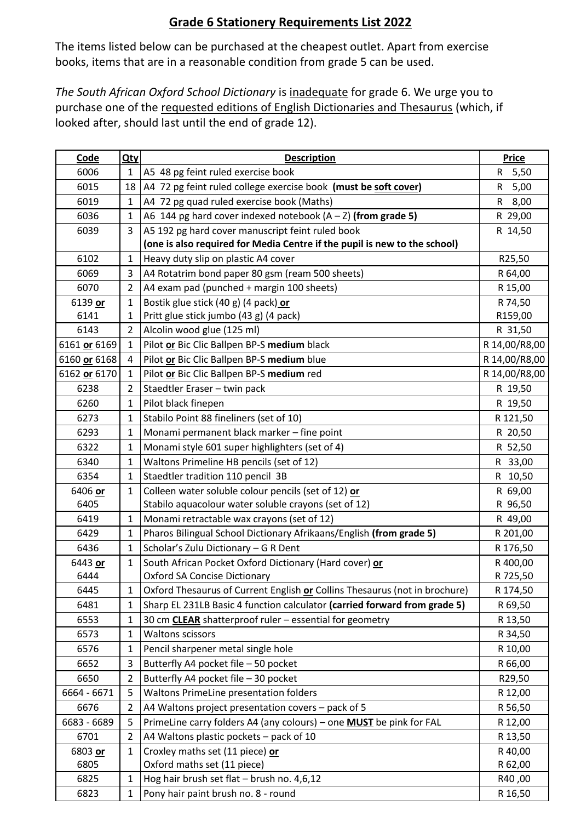## **Grade 6 Stationery Requirements List 2022**

The items listed below can be purchased at the cheapest outlet. Apart from exercise books, items that are in a reasonable condition from grade 5 can be used.

*The South African Oxford School Dictionary* is inadequate for grade 6. We urge you to purchase one of the requested editions of English Dictionaries and Thesaurus (which, if looked after, should last until the end of grade 12).

| Code         | Qty            | <b>Description</b>                                                         | <b>Price</b>         |
|--------------|----------------|----------------------------------------------------------------------------|----------------------|
| 6006         | 1              | A5 48 pg feint ruled exercise book                                         | $\mathsf{R}$<br>5,50 |
| 6015         | 18             | A4 72 pg feint ruled college exercise book (must be soft cover)            | R<br>5,00            |
| 6019         | 1              | A4 72 pg quad ruled exercise book (Maths)                                  | 8,00<br>R            |
| 6036         | 1              | A6 144 pg hard cover indexed notebook $(A - Z)$ (from grade 5)             | R 29,00              |
| 6039         | 3              | A5 192 pg hard cover manuscript feint ruled book                           | R 14,50              |
|              |                | (one is also required for Media Centre if the pupil is new to the school)  |                      |
| 6102         | $\mathbf{1}$   | Heavy duty slip on plastic A4 cover                                        | R25,50               |
| 6069         | 3              | A4 Rotatrim bond paper 80 gsm (ream 500 sheets)                            | R 64,00              |
| 6070         | $\overline{2}$ | A4 exam pad (punched + margin 100 sheets)                                  | R 15,00              |
| 6139 or      | 1              | Bostik glue stick (40 g) (4 pack) or                                       | R 74,50              |
| 6141         | 1              | Pritt glue stick jumbo (43 g) (4 pack)                                     | R159,00              |
| 6143         | $\overline{2}$ | Alcolin wood glue (125 ml)                                                 | R 31,50              |
| 6161 or 6169 | 1              | Pilot or Bic Clic Ballpen BP-S medium black                                | R 14,00/R8,00        |
| 6160 or 6168 | 4              | Pilot or Bic Clic Ballpen BP-S medium blue                                 | R 14,00/R8,00        |
| 6162 or 6170 | 1              | Pilot or Bic Clic Ballpen BP-S medium red                                  | R 14,00/R8,00        |
| 6238         | $\overline{2}$ | Staedtler Eraser - twin pack                                               | R 19,50              |
| 6260         | 1              | Pilot black finepen                                                        | R 19,50              |
| 6273         | 1              | Stabilo Point 88 fineliners (set of 10)                                    | R 121,50             |
| 6293         | 1              | Monami permanent black marker - fine point                                 | R 20,50              |
| 6322         | 1              | Monami style 601 super highlighters (set of 4)                             | R 52,50              |
| 6340         | 1              | Waltons Primeline HB pencils (set of 12)                                   | R 33,00              |
| 6354         | 1              | Staedtler tradition 110 pencil 3B                                          | R 10,50              |
| 6406 or      | 1              | Colleen water soluble colour pencils (set of 12) or                        | R 69,00              |
| 6405         |                | Stabilo aquacolour water soluble crayons (set of 12)                       | R 96,50              |
| 6419         | 1              | Monami retractable wax crayons (set of 12)                                 | R 49,00              |
| 6429         | 1              | Pharos Bilingual School Dictionary Afrikaans/English (from grade 5)        | R 201,00             |
| 6436         | 1              | Scholar's Zulu Dictionary - G R Dent                                       | R 176,50             |
| 6443 or      | 1              | South African Pocket Oxford Dictionary (Hard cover) or                     | R 400,00             |
| 6444         |                | <b>Oxford SA Concise Dictionary</b>                                        | R 725,50             |
| 6445         | 1              | Oxford Thesaurus of Current English or Collins Thesaurus (not in brochure) | R 174,50             |
| 6481         | 1              | Sharp EL 231LB Basic 4 function calculator (carried forward from grade 5)  | R 69,50              |
| 6553         | 1              | 30 cm <b>CLEAR</b> shatterproof ruler - essential for geometry             | R 13,50              |
| 6573         | 1              | <b>Waltons scissors</b>                                                    | R 34,50              |
| 6576         | 1              | Pencil sharpener metal single hole                                         | R 10,00              |
| 6652         | 3              | Butterfly A4 pocket file - 50 pocket                                       | R 66,00              |
| 6650         | $\overline{2}$ | Butterfly A4 pocket file - 30 pocket                                       | R29,50               |
| 6664 - 6671  | 5              | Waltons PrimeLine presentation folders                                     | R 12,00              |
| 6676         | 2              | A4 Waltons project presentation covers - pack of 5                         | R 56,50              |
| 6683 - 6689  | 5              | PrimeLine carry folders A4 (any colours) - one MUST be pink for FAL        | R 12,00              |
| 6701         | 2              | A4 Waltons plastic pockets - pack of 10                                    | R 13,50              |
| 6803 or      | 1              | Croxley maths set (11 piece) or                                            | R 40,00              |
| 6805         |                | Oxford maths set (11 piece)                                                | R 62,00              |
| 6825         | 1              | Hog hair brush set flat - brush no. 4,6,12                                 | R40,00               |
| 6823         | 1              | Pony hair paint brush no. 8 - round                                        | R 16,50              |